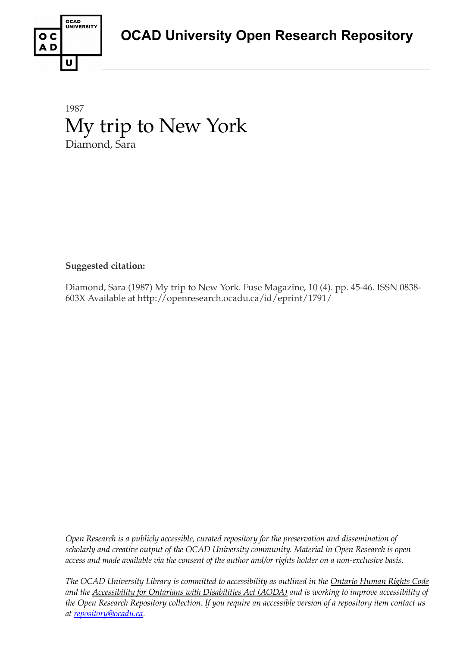

### 1987 My trip to New York Diamond, Sara

### **Suggested citation:**

Diamond, Sara (1987) My trip to New York. Fuse Magazine, 10 (4). pp. 45-46. ISSN 0838- 603X Available at http://openresearch.ocadu.ca/id/eprint/1791/

*Open Research is a publicly accessible, curated repository for the preservation and dissemination of scholarly and creative output of the OCAD University community. Material in Open Research is open access and made available via the consent of the author and/or rights holder on a non-exclusive basis.* 

*The OCAD University Library is committed to accessibility as outlined in the Ontario Human Rights Code and the Accessibility for Ontarians with Disabilities Act (AODA) and is working to improve accessibility of the Open Research Repository collection. If you require an accessible version of a repository item contact us at [repository@ocadu.ca.](mailto:repository@ocadu.ca)*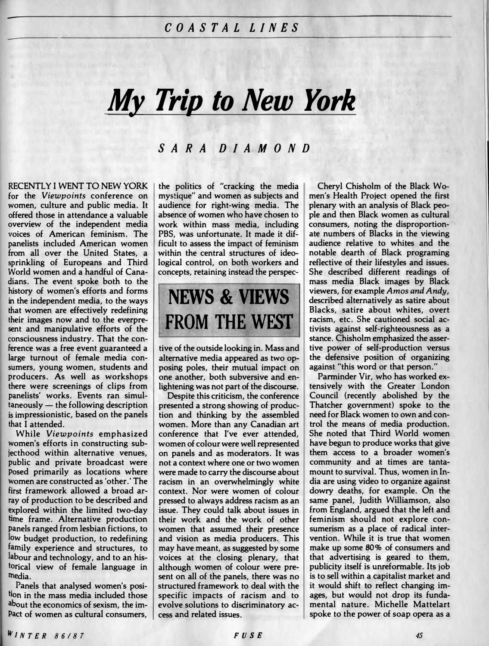# *My Trip to New York*

#### *SARA DIAMO ND*

**RECENTLY I WENT TO NEW YORK for the** *Viewpoints* **conference on women, culture and public media. It offered those in attendance a valuable overview of the independent media voices of American feminism. The panelists included American women from all over the United States, a sprinkling of Europeans and Third World women and a handful of Canadians. The event spoke both to the history of women's efforts and forms in the independent media, to the ways that women are effectively redefining their images now and to the everpresent and manipulative efforts of the consciousness industry. That the conference was a free event guaranteed a large turnout of female media consumers, young women, students and producers. As well as workshops there were screenings of clips from panelists' works. Events ran simultaneously - the following description is impressionistic, based on the panels that I attended.** 

**While** *Viewpoints* **emphasized women's efforts in constructing subjecthood within alternative venues, public and private broadcast were posed primarily as locations where Women are constructed as 'other.' The first framework allowed a broad array of production to be described and explored within the limited two-day time frame. Alternative production Panels ranged from lesbian fictions, to low budget production, to redefining family experience and structures, to labour and technology, and to an historical view of female language in media.** 

**Panels that analysed women's position in the mass media included those about the economics of sexism, the im-Pact of women as cultural consumers,**  **the politics of "cracking the media mystique" and women as subjects and audience for right-wing media. The absence of women who have chosen to work within mass media, including PBS, was unfortunate. It made it difficult to assess the impact of feminism within the central structures of ideological control, on both workers and concepts, retaining instead the perspec-**

## **NEWS & VIEWS FROM THE** WEST

**tive of the outside looking in. Mass and alternative media appeared as two opposing poles, their mutual impact on one another, both subversive and enlightening was not part of the discourse.** 

**Despite this criticism, the conference presented a strong showing of production and thinking by the assembled women. More than any Canadian art conference that I've ever attended, women of colour were well represented on panels and as moderators. It was not a context where one or two women were made to carry the discourse about racism in an overwhelmingly white context. Nor were women of colour pressed to always address racism as an issue. They could talk about issues in their work and the work of other women that assumed their presence and vision as media producers. This may have meant, as suggested by some voices at the closing plenary, that although women of colour were present on all of the panels, there was no structured framework to deal with the specific impacts of racism and to evolve solutions to discriminatory access and related issues.** 

**Cheryl Chisholm of the Black Women's Health Project opened the first plenary with an analysis of Black people and then Black women as cultural consumers, noting the disproportionate numbers of Blacks in the viewing audience relative to whites and the notable dearth of Black programing reflective of their lifestyles and issues. She described different readings of mass media Black images by Black viewers, for example** *Amos and Andy,*  **described alternatively as satire about Blacks, satire about whites, overt racism, etc. She cautioned social activists against self-righteousness as a stance. Chisholm emphasized the assertive power of self-production versus the defensive position of organizing against "this word or that person."** 

**III** 

Parminder Vir, who has worked ex**tensively with the Greater London Council (recently abolished by the Thatcher government) spoke to the need for Black women to own and control the means of media production. She noted that Third World women have begun to produce works that give them access to a broader women's community and at times are tantamount to survival. Thus, women in India are using video to organize against dowry deaths, for example. On the same panel, Judith Williamson, also from England, argued that the left and feminism should not explore consumerism as a place of radical intervention. While it is true that women make up some 80% of consumers and that advertising is geared to them, publicity itself is unrefonnable. Its job is to sell within a capitalist market and**  it would shift to reflect changing im**ages, but would not drop its fundamental nature. Michelle Mattelart spoke to the power of soap opera as a**